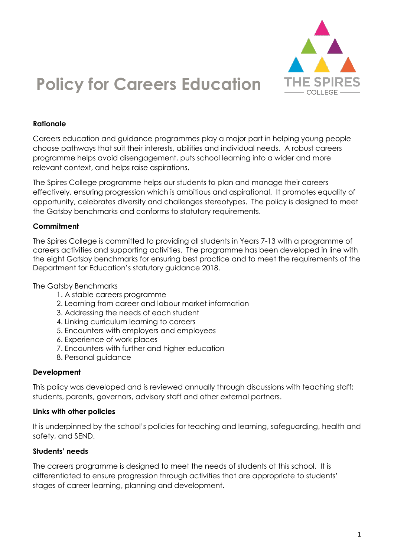

# **Policy for Careers Education**

#### **Rationale**

Careers education and guidance programmes play a major part in helping young people choose pathways that suit their interests, abilities and individual needs. A robust careers programme helps avoid disengagement, puts school learning into a wider and more relevant context, and helps raise aspirations.

The Spires College programme helps our students to plan and manage their careers effectively, ensuring progression which is ambitious and aspirational. It promotes equality of opportunity, celebrates diversity and challenges stereotypes. The policy is designed to meet the Gatsby benchmarks and conforms to statutory requirements.

#### **Commitment**

The Spires College is committed to providing all students in Years 7-13 with a programme of careers activities and supporting activities. The programme has been developed in line with the eight Gatsby benchmarks for ensuring best practice and to meet the requirements of the Department for Education's statutory guidance 2018.

#### The Gatsby Benchmarks

- 1. A stable careers programme
- 2. Learning from career and labour market information
- 3. Addressing the needs of each student
- 4. Linking curriculum learning to careers
- 5. Encounters with employers and employees
- 6. Experience of work places
- 7. Encounters with further and higher education
- 8. Personal guidance

#### **Development**

This policy was developed and is reviewed annually through discussions with teaching staff; students, parents, governors, advisory staff and other external partners.

#### **Links with other policies**

It is underpinned by the school's policies for teaching and learning, safeguarding, health and safety, and SEND.

#### **Students' needs**

The careers programme is designed to meet the needs of students at this school. It is differentiated to ensure progression through activities that are appropriate to students' stages of career learning, planning and development.